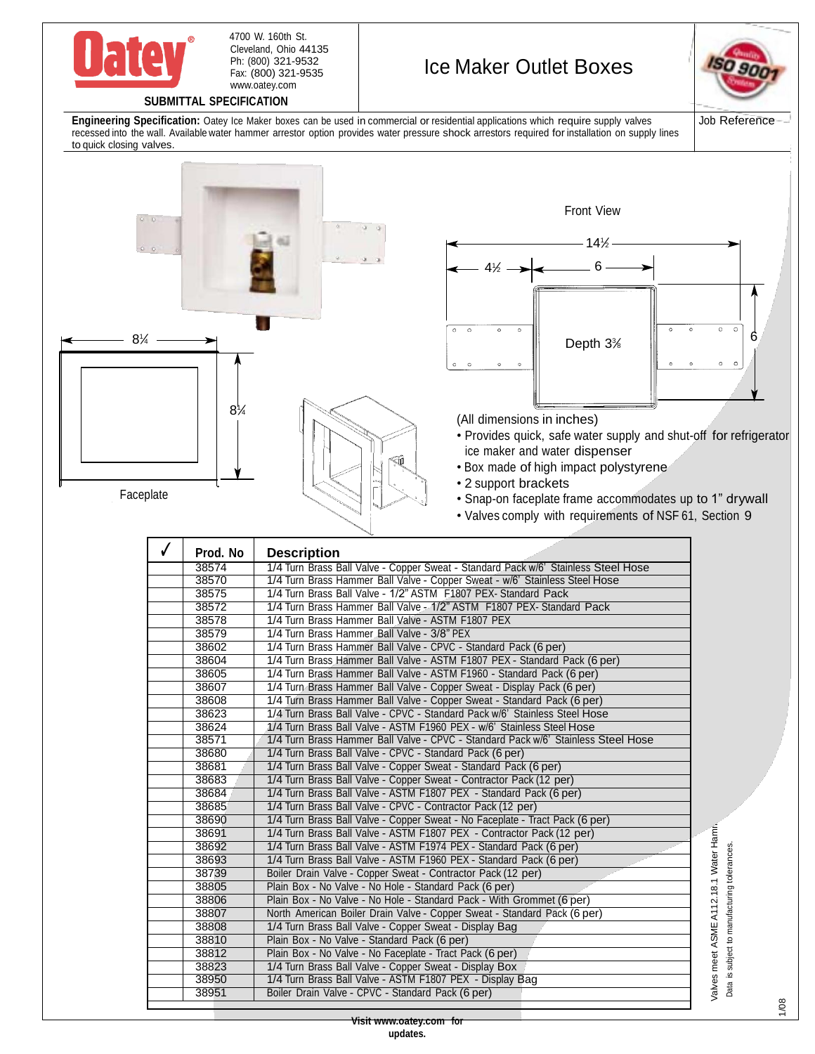

Cleveland, Ohio 44135 Ph: (800) 321-9532 Fax: (800) 321-9535 [www.oatey.com](http://www.oatey.com/) 4700 W. 160th St.

## Ice Maker Outlet Boxes



**SUBMITTAL SPECIFICATION**

**Engineering Specification:** Oatey Ice Maker boxes can be used in commercial or residential applications which require supply valves recessed into the wall. Available water hammer arrestor option provides water pressure shock arrestors required for installation on supply lines to quick closing valves.



| 38574 | 1/4 Turn Brass Ball Valve - Copper Sweat - Standard Pack w/6' Stainless Steel Hose |
|-------|------------------------------------------------------------------------------------|
| 38570 | 1/4 Turn Brass Hammer Ball Valve - Copper Sweat - w/6' Stainless Steel Hose        |
| 38575 | 1/4 Turn Brass Ball Valve - 1/2" ASTM F1807 PEX- Standard Pack                     |
| 38572 | 1/4 Turn Brass Hammer Ball Valve - 1/2" ASTM F1807 PEX- Standard Pack              |
| 38578 | 1/4 Turn Brass Hammer Ball Valve - ASTM F1807 PEX                                  |
| 38579 | 1/4 Turn Brass Hammer Ball Valve - 3/8" PEX                                        |
| 38602 | 1/4 Turn Brass Hammer Ball Valve - CPVC - Standard Pack (6 per)                    |
| 38604 | 1/4 Turn Brass Hammer Ball Valve - ASTM F1807 PEX - Standard Pack (6 per)          |
| 38605 | 1/4 Turn Brass Hammer Ball Valve - ASTM F1960 - Standard Pack (6 per)              |
| 38607 | 1/4 Turn Brass Hammer Ball Valve - Copper Sweat - Display Pack (6 per)             |
| 38608 | 1/4 Turn Brass Hammer Ball Valve - Copper Sweat - Standard Pack (6 per)            |
| 38623 | 1/4 Turn Brass Ball Valve - CPVC - Standard Pack w/6' Stainless Steel Hose         |
| 38624 | 1/4 Turn Brass Ball Valve - ASTM F1960 PEX - w/6' Stainless Steel Hose             |
| 38571 | 1/4 Turn Brass Hammer Ball Valve - CPVC - Standard Pack w/6' Stainless Steel Hose  |
| 38680 | 1/4 Turn Brass Ball Valve - CPVC - Standard Pack (6 per)                           |
| 38681 | 1/4 Turn Brass Ball Valve - Copper Sweat - Standard Pack (6 per)                   |
| 38683 | 1/4 Turn Brass Ball Valve - Copper Sweat - Contractor Pack (12 per)                |
| 38684 | 1/4 Turn Brass Ball Valve - ASTM F1807 PEX - Standard Pack (6 per)                 |
| 38685 | 1/4 Turn Brass Ball Valve - CPVC - Contractor Pack (12 per)                        |
| 38690 | 1/4 Turn Brass Ball Valve - Copper Sweat - No Faceplate - Tract Pack (6 per)       |
| 38691 | 1/4 Turn Brass Ball Valve - ASTM F1807 PEX - Contractor Pack (12 per)              |
| 38692 | 1/4 Turn Brass Ball Valve - ASTM F1974 PEX - Standard Pack (6 per)                 |
| 38693 | 1/4 Turn Brass Ball Valve - ASTM F1960 PEX - Standard Pack (6 per)                 |
| 38739 | Boiler Drain Valve - Copper Sweat - Contractor Pack (12 per)                       |
| 38805 | Plain Box - No Valve - No Hole - Standard Pack (6 per)                             |
| 38806 | Plain Box - No Valve - No Hole - Standard Pack - With Grommet (6 per)              |
| 38807 | North American Boiler Drain Valve - Copper Sweat - Standard Pack (6 per)           |
| 38808 | 1/4 Turn Brass Ball Valve - Copper Sweat - Display Bag                             |
| 38810 | Plain Box - No Valve - Standard Pack (6 per)                                       |
| 38812 | Plain Box - No Valve - No Faceplate - Tract Pack (6 per)                           |
| 38823 | 1/4 Turn Brass Ball Valve - Copper Sweat - Display Box                             |
| 38950 | 1/4 Turn Brass Ball Valve - ASTM F1807 PEX - Display Bag                           |
| 38951 | Boiler Drain Valve - CPVC - Standard Pack (6 per)                                  |
|       |                                                                                    |

Water Hamn Valves meet ASME A112.18.1 Water Hamn Data is subject to manufacturing tolerances. Data is subject to manufacturing tolerances. Valves meet ASMEA112.18.1